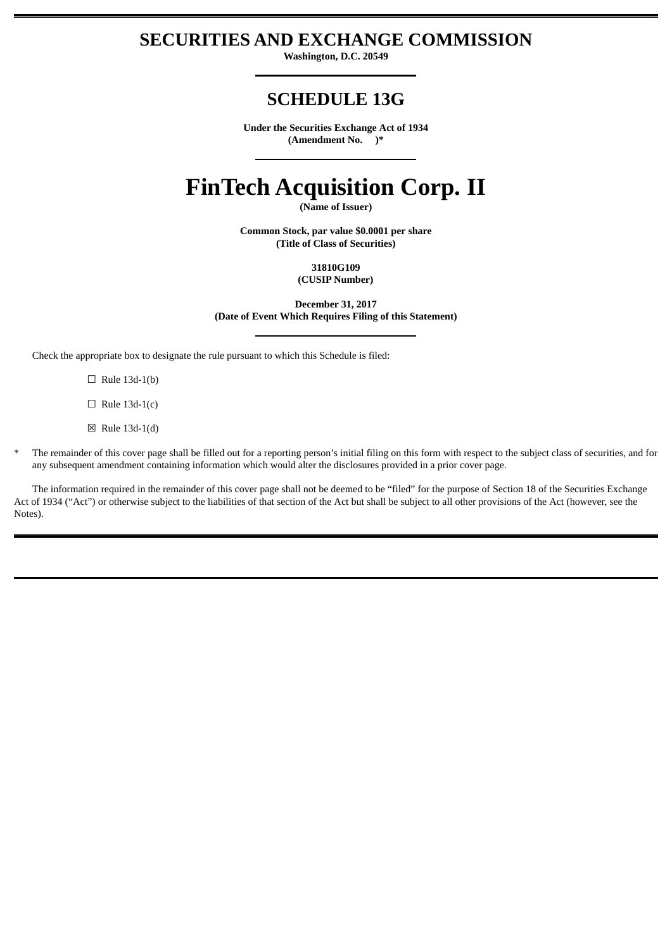# **SECURITIES AND EXCHANGE COMMISSION**

**Washington, D.C. 20549**

# **SCHEDULE 13G**

**Under the Securities Exchange Act of 1934 (Amendment No. )\***

# **FinTech Acquisition Corp. II**

**(Name of Issuer)**

**Common Stock, par value \$0.0001 per share (Title of Class of Securities)**

> **31810G109 (CUSIP Number)**

**December 31, 2017 (Date of Event Which Requires Filing of this Statement)**

Check the appropriate box to designate the rule pursuant to which this Schedule is filed:

 $\Box$  Rule 13d-1(b)

 $\Box$  Rule 13d-1(c)

 $\boxtimes$  Rule 13d-1(d)

The remainder of this cover page shall be filled out for a reporting person's initial filing on this form with respect to the subject class of securities, and for any subsequent amendment containing information which would alter the disclosures provided in a prior cover page.

The information required in the remainder of this cover page shall not be deemed to be "filed" for the purpose of Section 18 of the Securities Exchange Act of 1934 ("Act") or otherwise subject to the liabilities of that section of the Act but shall be subject to all other provisions of the Act (however, see the Notes).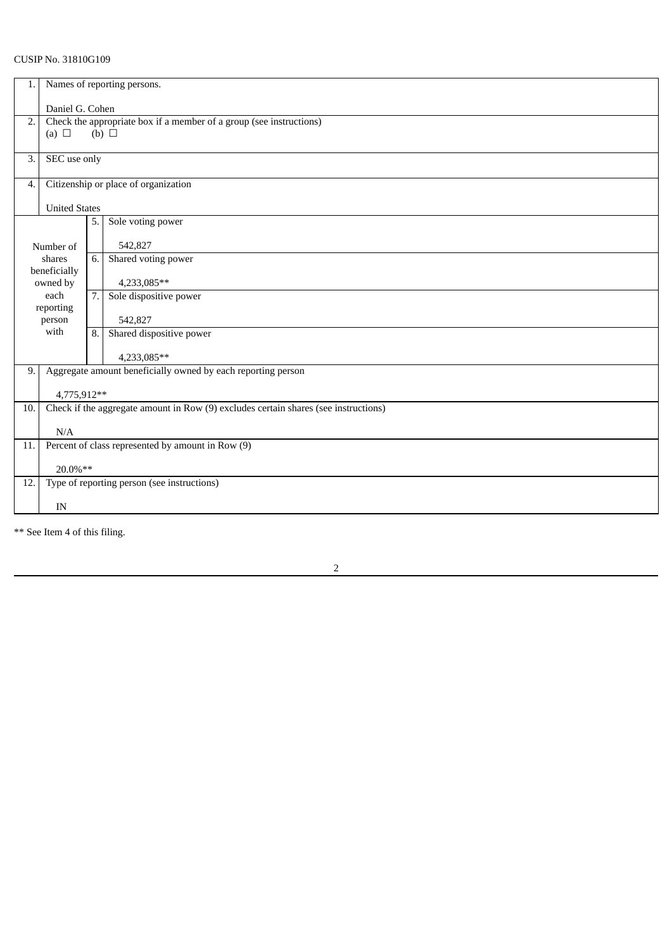# CUSIP No. 31810G109

| 1.                  | Names of reporting persons.                                                                        |     |                          |  |  |  |
|---------------------|----------------------------------------------------------------------------------------------------|-----|--------------------------|--|--|--|
|                     | Daniel G. Cohen                                                                                    |     |                          |  |  |  |
| 2.                  | Check the appropriate box if a member of a group (see instructions)<br>$(b)$ $\Box$                |     |                          |  |  |  |
|                     | (a) $\Box$                                                                                         |     |                          |  |  |  |
| 3.                  | SEC use only                                                                                       |     |                          |  |  |  |
| 4.                  | Citizenship or place of organization                                                               |     |                          |  |  |  |
|                     | <b>United States</b>                                                                               |     |                          |  |  |  |
|                     |                                                                                                    | 5.  | Sole voting power        |  |  |  |
|                     |                                                                                                    |     | 542,827                  |  |  |  |
| Number of<br>shares |                                                                                                    | 6.1 | Shared voting power      |  |  |  |
|                     | beneficially                                                                                       |     |                          |  |  |  |
| owned by            |                                                                                                    |     | 4,233,085**              |  |  |  |
| each                |                                                                                                    | 7.1 | Sole dispositive power   |  |  |  |
|                     | reporting                                                                                          |     |                          |  |  |  |
| person<br>with      |                                                                                                    |     | 542,827                  |  |  |  |
|                     |                                                                                                    | 8.1 | Shared dispositive power |  |  |  |
|                     |                                                                                                    |     | 4,233,085**              |  |  |  |
| 9.                  | Aggregate amount beneficially owned by each reporting person                                       |     |                          |  |  |  |
|                     |                                                                                                    |     |                          |  |  |  |
| 10.                 | 4,775,912**<br>Check if the aggregate amount in Row (9) excludes certain shares (see instructions) |     |                          |  |  |  |
|                     |                                                                                                    |     |                          |  |  |  |
|                     | N/A                                                                                                |     |                          |  |  |  |
| 11.                 | Percent of class represented by amount in Row (9)                                                  |     |                          |  |  |  |
|                     | 20.0%**                                                                                            |     |                          |  |  |  |
| 12.                 | Type of reporting person (see instructions)                                                        |     |                          |  |  |  |
|                     |                                                                                                    |     |                          |  |  |  |
|                     | IN                                                                                                 |     |                          |  |  |  |
|                     |                                                                                                    |     |                          |  |  |  |

\*\* See Item 4 of this filing.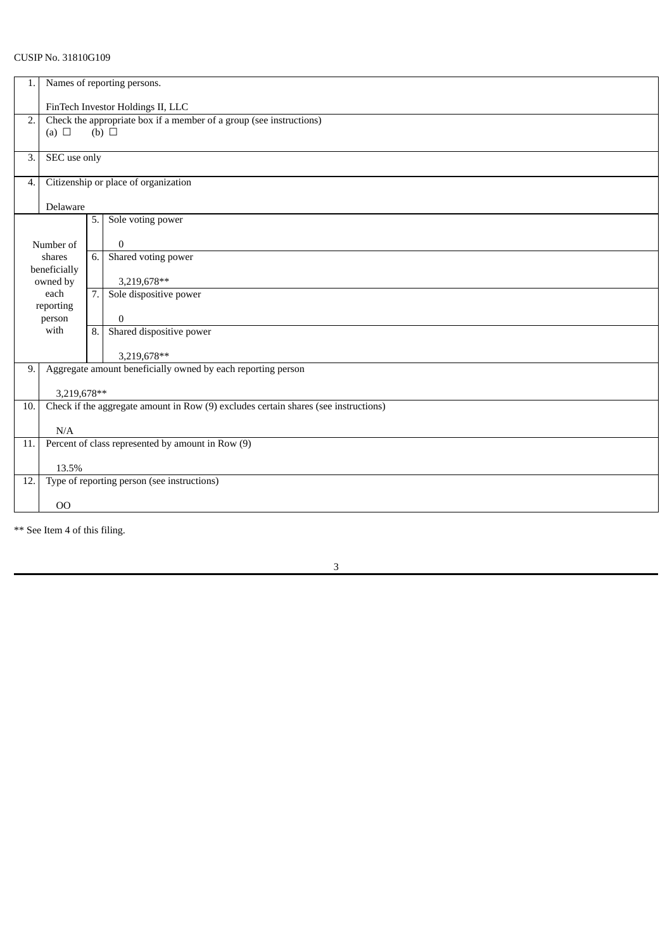## CUSIP No. 31810G109

| 1.  |                                                                     |    |                                                                                     |  |  |  |
|-----|---------------------------------------------------------------------|----|-------------------------------------------------------------------------------------|--|--|--|
|     | Names of reporting persons.                                         |    |                                                                                     |  |  |  |
|     | FinTech Investor Holdings II, LLC                                   |    |                                                                                     |  |  |  |
| 2.  | Check the appropriate box if a member of a group (see instructions) |    |                                                                                     |  |  |  |
|     | (a) $\Box$                                                          |    | $(b)$ $\square$                                                                     |  |  |  |
|     |                                                                     |    |                                                                                     |  |  |  |
| 3.  | SEC use only                                                        |    |                                                                                     |  |  |  |
|     |                                                                     |    |                                                                                     |  |  |  |
| 4.  | Citizenship or place of organization                                |    |                                                                                     |  |  |  |
|     |                                                                     |    |                                                                                     |  |  |  |
|     | Delaware                                                            |    |                                                                                     |  |  |  |
|     |                                                                     | 5. | Sole voting power                                                                   |  |  |  |
|     |                                                                     |    |                                                                                     |  |  |  |
|     | Number of                                                           |    | $\bf{0}$                                                                            |  |  |  |
|     | shares                                                              | 6. | Shared voting power                                                                 |  |  |  |
|     | beneficially<br>owned by                                            |    | 3,219,678**                                                                         |  |  |  |
|     | each                                                                | 7. | Sole dispositive power                                                              |  |  |  |
|     | reporting                                                           |    |                                                                                     |  |  |  |
|     | person                                                              |    | $\mathbf{0}$                                                                        |  |  |  |
|     | with                                                                | 8. | Shared dispositive power                                                            |  |  |  |
|     |                                                                     |    |                                                                                     |  |  |  |
|     |                                                                     |    | 3,219,678**                                                                         |  |  |  |
| 9.  | Aggregate amount beneficially owned by each reporting person        |    |                                                                                     |  |  |  |
|     |                                                                     |    |                                                                                     |  |  |  |
|     | 3,219,678**                                                         |    |                                                                                     |  |  |  |
| 10. |                                                                     |    | Check if the aggregate amount in Row (9) excludes certain shares (see instructions) |  |  |  |
|     |                                                                     |    |                                                                                     |  |  |  |
|     | N/A                                                                 |    |                                                                                     |  |  |  |
| 11. | Percent of class represented by amount in Row (9)                   |    |                                                                                     |  |  |  |
|     |                                                                     |    |                                                                                     |  |  |  |
|     | 13.5%                                                               |    |                                                                                     |  |  |  |
| 12. | Type of reporting person (see instructions)                         |    |                                                                                     |  |  |  |
|     | 00                                                                  |    |                                                                                     |  |  |  |
|     |                                                                     |    |                                                                                     |  |  |  |

\*\* See Item 4 of this filing.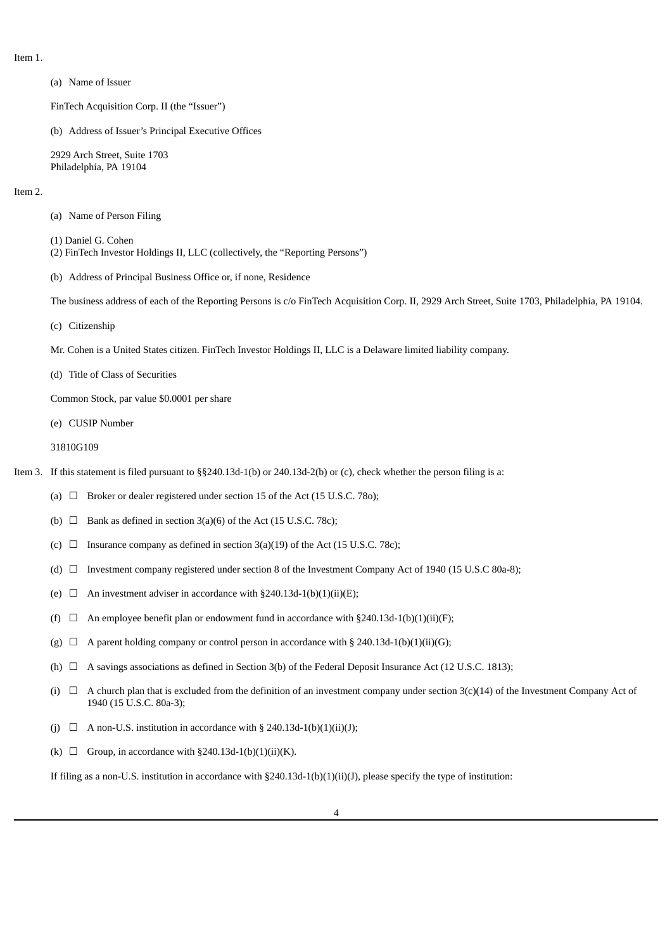Item 1.

(a) Name of Issuer

FinTech Acquisition Corp. II (the "Issuer")

(b) Address of Issuer's Principal Executive Offices

2929 Arch Street, Suite 1703 Philadelphia, PA 19104

#### Item 2.

- (a) Name of Person Filing
- (1) Daniel G. Cohen (2) FinTech Investor Holdings II, LLC (collectively, the "Reporting Persons")
- (b) Address of Principal Business Office or, if none, Residence

The business address of each of the Reporting Persons is c/o FinTech Acquisition Corp. II, 2929 Arch Street, Suite 1703, Philadelphia, PA 19104.

(c) Citizenship

Mr. Cohen is a United States citizen. FinTech Investor Holdings II, LLC is a Delaware limited liability company.

(d) Title of Class of Securities

Common Stock, par value \$0.0001 per share

- (e) CUSIP Number
- 31810G109

Item 3. If this statement is filed pursuant to §§240.13d-1(b) or 240.13d-2(b) or (c), check whether the person filing is a:

- (a)  $\Box$  Broker or dealer registered under section 15 of the Act (15 U.S.C. 78o);
- (b)  $\Box$  Bank as defined in section 3(a)(6) of the Act (15 U.S.C. 78c);
- (c)  $\Box$  Insurance company as defined in section 3(a)(19) of the Act (15 U.S.C. 78c);
- (d) ☐ Investment company registered under section 8 of the Investment Company Act of 1940 (15 U.S.C 80a-8);
- (e)  $\Box$  An investment adviser in accordance with §240.13d-1(b)(1)(ii)(E);
- (f)  $\Box$  An employee benefit plan or endowment fund in accordance with §240.13d-1(b)(1)(ii)(F);
- (g)  $\Box$  A parent holding company or control person in accordance with § 240.13d-1(b)(1)(ii)(G);
- (h)  $\Box$  A savings associations as defined in Section 3(b) of the Federal Deposit Insurance Act (12 U.S.C. 1813);
- (i)  $\Box$  A church plan that is excluded from the definition of an investment company under section 3(c)(14) of the Investment Company Act of 1940 (15 U.S.C. 80a-3);
- (j)  $\Box$  A non-U.S. institution in accordance with § 240.13d-1(b)(1)(ii)(J);
- (k)  $\Box$  Group, in accordance with §240.13d-1(b)(1)(ii)(K).

If filing as a non-U.S. institution in accordance with §240.13d-1(b)(1)(ii)(J), please specify the type of institution: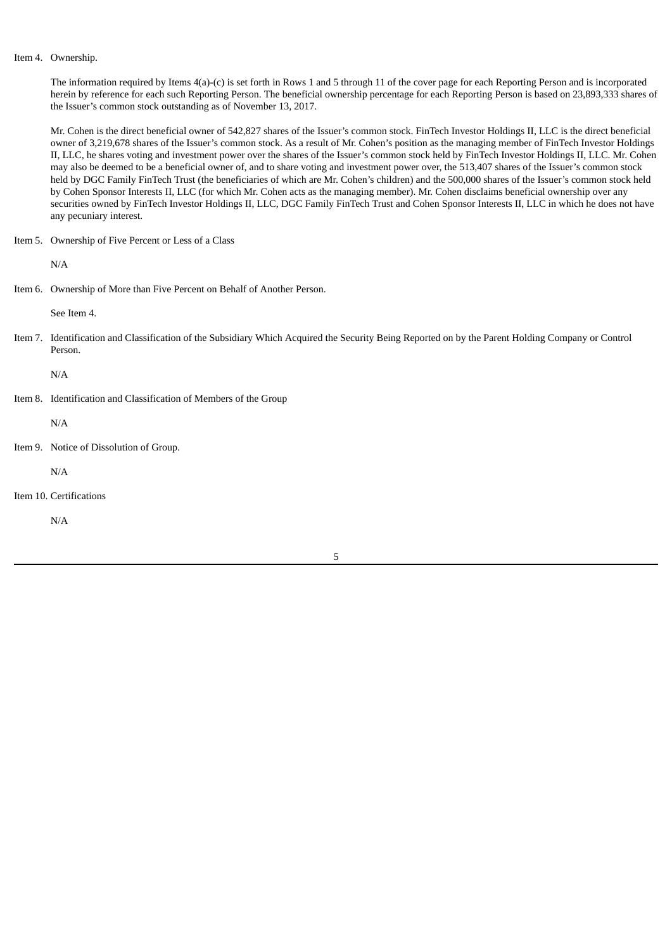#### Item 4. Ownership.

The information required by Items 4(a)-(c) is set forth in Rows 1 and 5 through 11 of the cover page for each Reporting Person and is incorporated herein by reference for each such Reporting Person. The beneficial ownership percentage for each Reporting Person is based on 23,893,333 shares of the Issuer's common stock outstanding as of November 13, 2017.

Mr. Cohen is the direct beneficial owner of 542,827 shares of the Issuer's common stock. FinTech Investor Holdings II, LLC is the direct beneficial owner of 3,219,678 shares of the Issuer's common stock. As a result of Mr. Cohen's position as the managing member of FinTech Investor Holdings II, LLC, he shares voting and investment power over the shares of the Issuer's common stock held by FinTech Investor Holdings II, LLC. Mr. Cohen may also be deemed to be a beneficial owner of, and to share voting and investment power over, the 513,407 shares of the Issuer's common stock held by DGC Family FinTech Trust (the beneficiaries of which are Mr. Cohen's children) and the 500,000 shares of the Issuer's common stock held by Cohen Sponsor Interests II, LLC (for which Mr. Cohen acts as the managing member). Mr. Cohen disclaims beneficial ownership over any securities owned by FinTech Investor Holdings II, LLC, DGC Family FinTech Trust and Cohen Sponsor Interests II, LLC in which he does not have any pecuniary interest.

Item 5. Ownership of Five Percent or Less of a Class

N/A

Item 6. Ownership of More than Five Percent on Behalf of Another Person.

See Item 4.

Item 7. Identification and Classification of the Subsidiary Which Acquired the Security Being Reported on by the Parent Holding Company or Control Person.

N/A

Item 8. Identification and Classification of Members of the Group

N/A

Item 9. Notice of Dissolution of Group.

N/A

Item 10. Certifications

N/A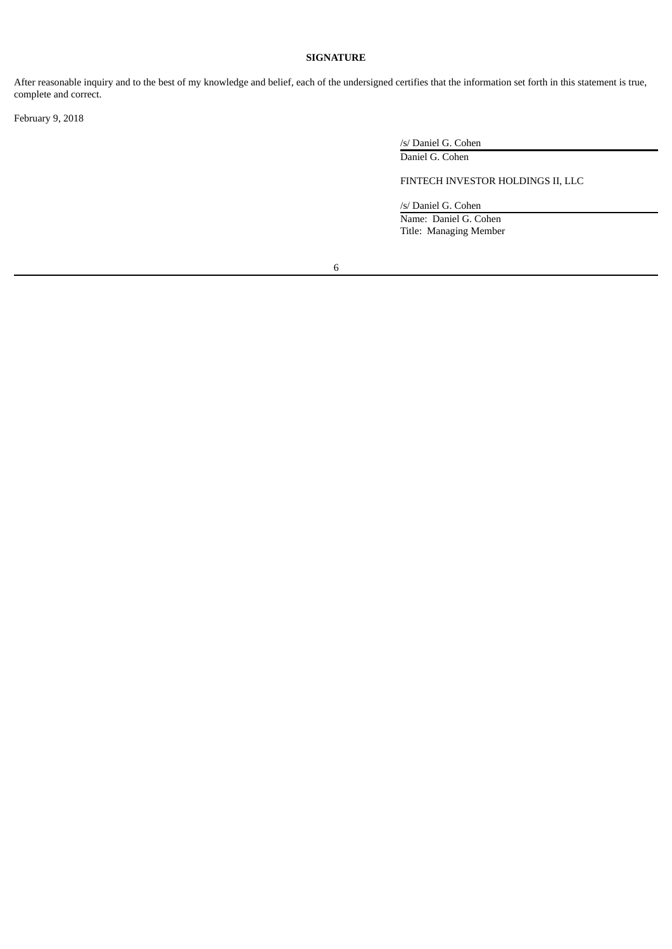### **SIGNATURE**

After reasonable inquiry and to the best of my knowledge and belief, each of the undersigned certifies that the information set forth in this statement is true, complete and correct.

February 9, 2018

/s/ Daniel G. Cohen

Daniel G. Cohen

# FINTECH INVESTOR HOLDINGS II, LLC

/s/ Daniel G. Cohen Name: Daniel G. Cohen

Title: Managing Member